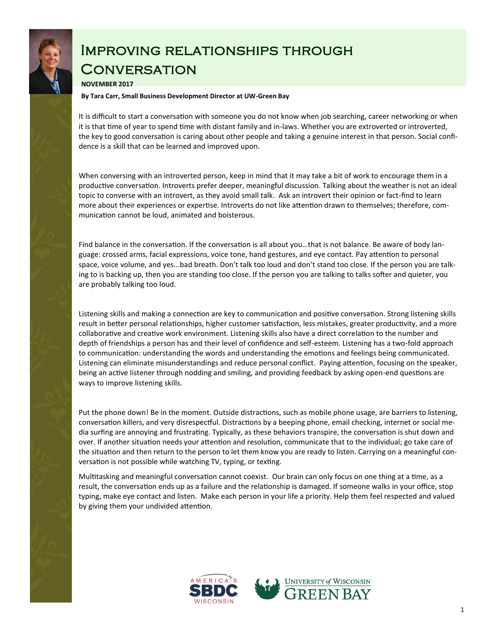

## Improving relationships through **CONVERSATION**

## **NOVEMBER 2017**

**By Tara Carr, Small Business Development Director at UW-Green Bay**

It is difficult to start a conversation with someone you do not know when job searching, career networking or when it is that time of year to spend time with distant family and in-laws. Whether you are extroverted or introverted, the key to good conversation is caring about other people and taking a genuine interest in that person. Social confidence is a skill that can be learned and improved upon.

When conversing with an introverted person, keep in mind that it may take a bit of work to encourage them in a productive conversation. Introverts prefer deeper, meaningful discussion. Talking about the weather is not an ideal topic to converse with an introvert, as they avoid small talk. Ask an introvert their opinion or fact-find to learn more about their experiences or expertise. Introverts do not like attention drawn to themselves; therefore, communication cannot be loud, animated and boisterous.

Find balance in the conversation. If the conversation is all about you…that is not balance. Be aware of body language: crossed arms, facial expressions, voice tone, hand gestures, and eye contact. Pay attention to personal space, voice volume, and yes...bad breath. Don't talk too loud and don't stand too close. If the person you are talking to is backing up, then you are standing too close. If the person you are talking to talks softer and quieter, you are probably talking too loud.

Listening skills and making a connection are key to communication and positive conversation. Strong listening skills result in better personal relationships, higher customer satisfaction, less mistakes, greater productivity, and a more collaborative and creative work environment. Listening skills also have a direct correlation to the number and depth of friendships a person has and their level of confidence and self-esteem. Listening has a two-fold approach to communication: understanding the words and understanding the emotions and feelings being communicated. Listening can eliminate misunderstandings and reduce personal conflict. Paying attention, focusing on the speaker, being an active listener through nodding and smiling, and providing feedback by asking open-end questions are ways to improve listening skills.

Put the phone down! Be in the moment. Outside distractions, such as mobile phone usage, are barriers to listening, conversation killers, and very disrespectful. Distractions by a beeping phone, email checking, internet or social media surfing are annoying and frustrating. Typically, as these behaviors transpire, the conversation is shut down and over. If another situation needs your attention and resolution, communicate that to the individual; go take care of the situation and then return to the person to let them know you are ready to listen. Carrying on a meaningful conversation is not possible while watching TV, typing, or texting.

Multitasking and meaningful conversation cannot coexist. Our brain can only focus on one thing at a time, as a result, the conversation ends up as a failure and the relationship is damaged. If someone walks in your office, stop typing, make eye contact and listen. Make each person in your life a priority. Help them feel respected and valued by giving them your undivided attention.